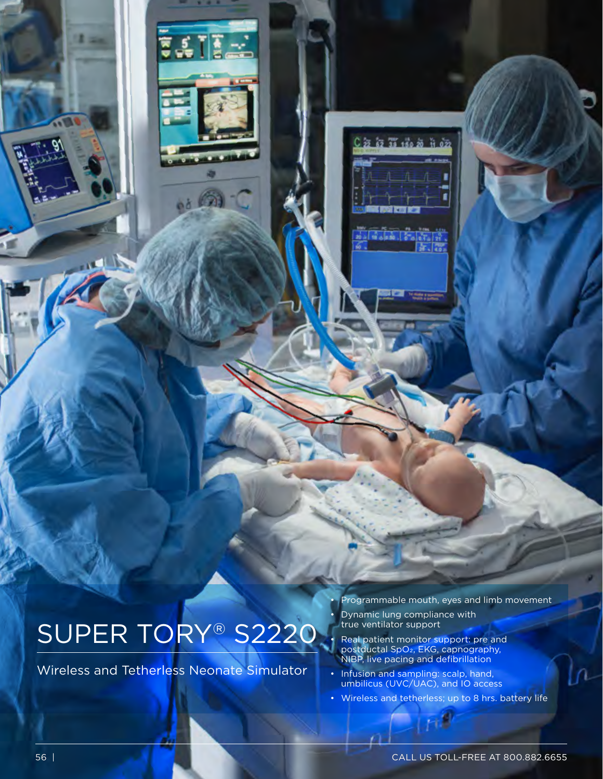# SUPER TORY® S2220

 $54122$ 

Wireless and Tetherless Neonate Simulator

• Programmable mouth, eyes and limb movement

• Dynamic lung compliance with true ventilator support

• Real patient monitor support: pre and postductal SpO<sub>2</sub>, EKG, capnography, NIBP, live pacing and defibrillation

• Infusion and sampling: scalp, hand, umbilicus (UVC/UAC), and IO access

• Wireless and tetherless; up to 8 hrs. battery life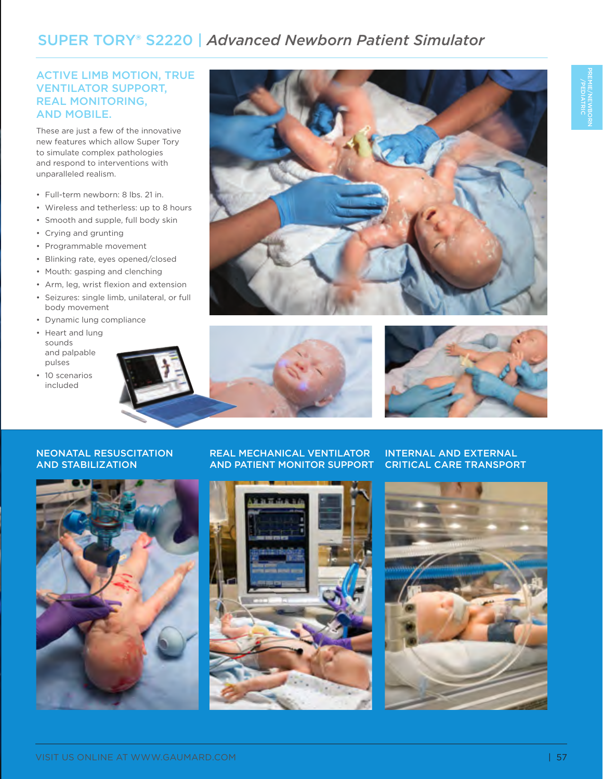# SUPER TORY® S2220 | *Advanced Newborn Patient Simulator*

## ACTIVE LIMB MOTION, TRUE VENTILATOR SUPPORT, REAL MONITORING, AND MOBILE.

These are just a few of the innovative new features which allow Super Tory to simulate complex pathologies and respond to interventions with unparalleled realism.

- Full-term newborn: 8 lbs. 21 in.
- Wireless and tetherless: up to 8 hours
- Smooth and supple, full body skin
- Crying and grunting
- Programmable movement
- Blinking rate, eyes opened/closed
- Mouth: gasping and clenching
- Arm, leg, wrist flexion and extension
- Seizures: single limb, unilateral, or full body movement
- Dynamic lung compliance
- Heart and lung sounds and palpable pulses
- 10 scenarios included







INTERNAL AND EXTERNAL CRITICAL CARE TRANSPORT

#### NEONATAL RESUSCITATION AND STABILIZATION



#### REAL MECHANICAL VENTILATOR AND PATIENT MONITOR SUPPORT



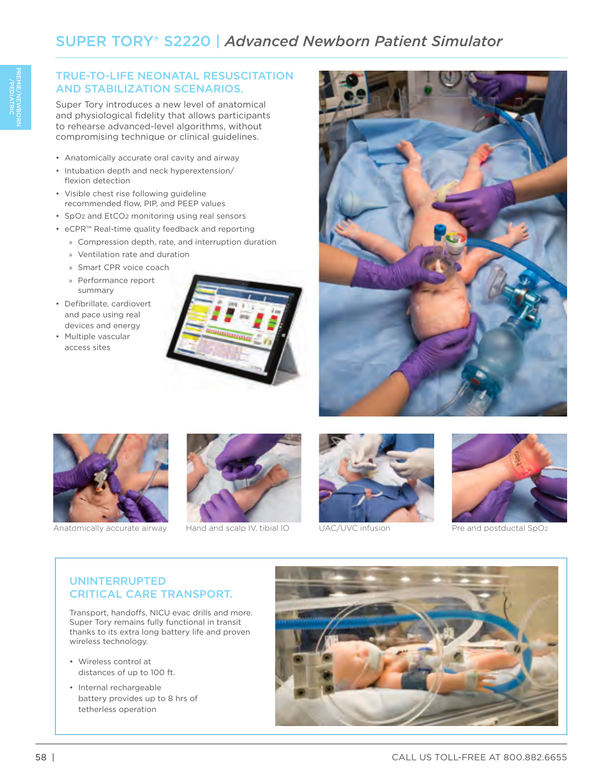## TRUE-TO-LIFE NEONATAL RESUSCITATION AND STABILIZATION SCENARIOS.

Super Tory introduces a new level of anatomical and physiological fidelity that allows participants to rehearse advanced-level algorithms, without compromising technique or clinical guidelines.

- Anatomically accurate oral cavity and airway
- Intubation depth and neck hyperextension/ flexion detection
- Visible chest rise following guideline recommended flow, PIP, and PEEP values
- SpO2 and EtCO2 monitoring using real sensors
- eCPR™ Real-time quality feedback and reporting
	- » Compression depth, rate, and interruption duration
	- » Ventilation rate and duration
	- » Smart CPR voice coach
	- » Performance report summary
- Defibrillate, cardiovert and pace using real devices and energy
- Multiple vascular access sites







Anatomically accurate airway Hand and scalp IV, tibial IO UAC/UVC infusion Pre and postductal SpO2







# UNINTERRUPTED CRITICAL CARE TRANSPORT.

Transport, handoffs, NICU evac drills and more. Super Tory remains fully functional in transit thanks to its extra long battery life and proven wireless technology.

- Wireless control at distances of up to 100 ft.
- Internal rechargeable battery provides up to 8 hrs of tetherless operation

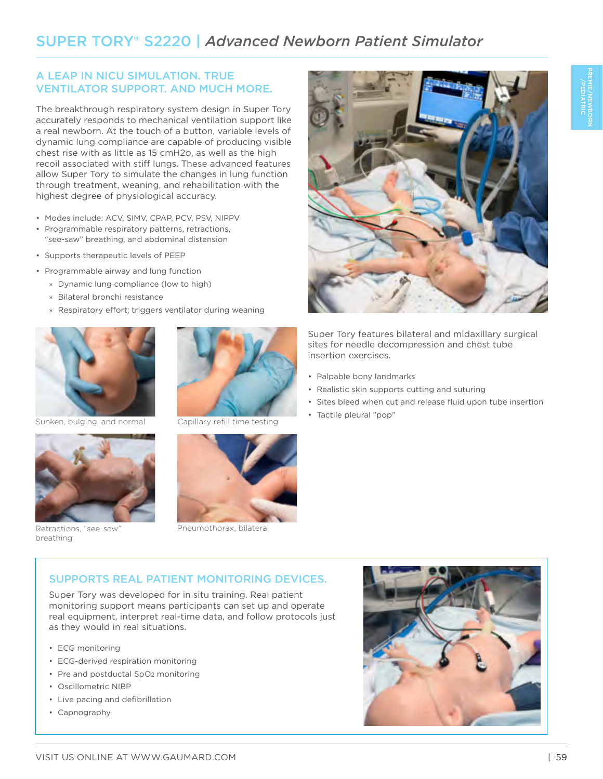# A LEAP IN NICU SIMULATION. TRUE VENTILATOR SUPPORT. AND MUCH MORE.

The breakthrough respiratory system design in Super Tory accurately responds to mechanical ventilation support like a real newborn. At the touch of a button, variable levels of dynamic lung compliance are capable of producing visible chest rise with as little as 15 cmH2O, as well as the high recoil associated with stiff lungs. These advanced features allow Super Tory to simulate the changes in lung function through treatment, weaning, and rehabilitation with the highest degree of physiological accuracy.

- Modes include: ACV, SIMV, CPAP, PCV, PSV, NIPPV
- Programmable respiratory patterns, retractions, "see-saw" breathing, and abdominal distension
- Supports therapeutic levels of PEEP
- Programmable airway and lung function
	- » Dynamic lung compliance (low to high)
	- » Bilateral bronchi resistance
	- » Respiratory effort; triggers ventilator during weaning



Sunken, bulging, and normal Capillary refill time testing



Retractions, "see-saw" breathing





Pneumothorax, bilateral



Super Tory features bilateral and midaxillary surgical sites for needle decompression and chest tube insertion exercises.

- Palpable bony landmarks
- Realistic skin supports cutting and suturing
- Sites bleed when cut and release fluid upon tube insertion
- Tactile pleural "pop"

# SUPPORTS REAL PATIENT MONITORING DEVICES.

Super Tory was developed for in situ training. Real patient monitoring support means participants can set up and operate real equipment, interpret real-time data, and follow protocols just as they would in real situations.

- ECG monitoring
- ECG-derived respiration monitoring
- Pre and postductal SpO2 monitoring
- Oscillometric NIBP
- Live pacing and defibrillation
- Capnography

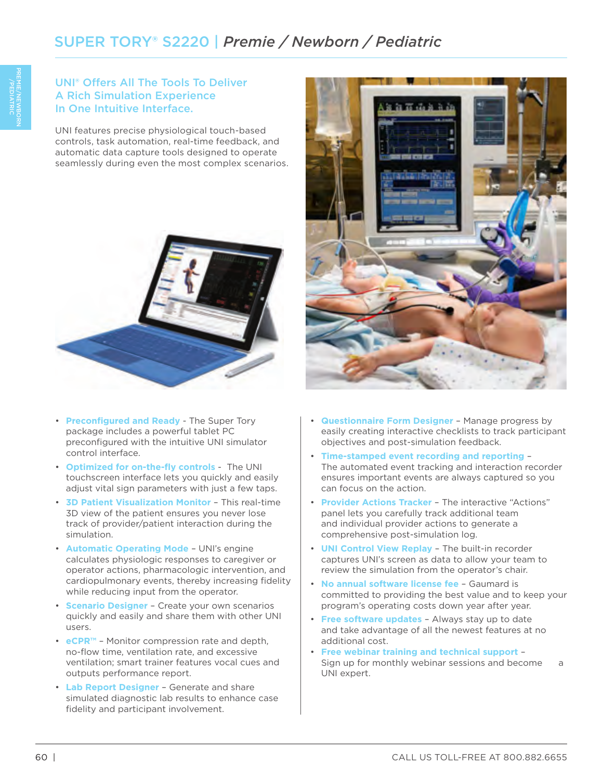# UNI® Offers All The Tools To Deliver A Rich Simulation Experience In One Intuitive Interface.

UNI features precise physiological touch-based controls, task automation, real-time feedback, and automatic data capture tools designed to operate seamlessly during even the most complex scenarios.



- **Preconfigured and Ready** The Super Tory package includes a powerful tablet PC preconfigured with the intuitive UNI simulator control interface.
- **Optimized for on-the-fly controls** The UNI touchscreen interface lets you quickly and easily adjust vital sign parameters with just a few taps.
- **3D Patient Visualization Monitor** This real-time 3D view of the patient ensures you never lose track of provider/patient interaction during the simulation.
- **Automatic Operating Mode** UNI's engine calculates physiologic responses to caregiver or operator actions, pharmacologic intervention, and cardiopulmonary events, thereby increasing fidelity while reducing input from the operator.
- **Scenario Designer** Create your own scenarios quickly and easily and share them with other UNI users.
- **eCPR™** Monitor compression rate and depth, no-flow time, ventilation rate, and excessive ventilation; smart trainer features vocal cues and outputs performance report.
- **Lab Report Designer** Generate and share simulated diagnostic lab results to enhance case fidelity and participant involvement.



- **Questionnaire Form Designer** Manage progress by easily creating interactive checklists to track participant objectives and post-simulation feedback.
- **Time-stamped event recording and reporting** The automated event tracking and interaction recorder ensures important events are always captured so you can focus on the action.
- **Provider Actions Tracker** The interactive "Actions" panel lets you carefully track additional team and individual provider actions to generate a comprehensive post-simulation log.
- **UNI Control View Replay** The built-in recorder captures UNI's screen as data to allow your team to review the simulation from the operator's chair.
- **No annual software license fee** Gaumard is committed to providing the best value and to keep your program's operating costs down year after year.
- **Free software updates** Always stay up to date and take advantage of all the newest features at no additional cost.
- **Free webinar training and technical support** Sign up for monthly webinar sessions and become a UNI expert.